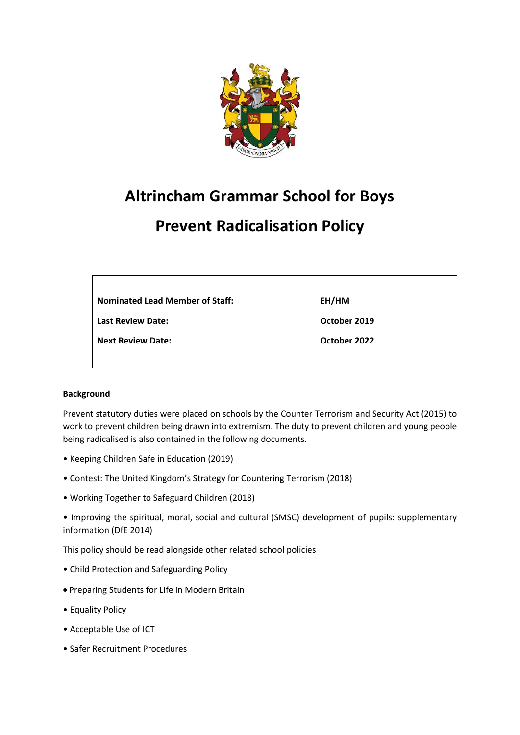

# **Altrincham Grammar School for Boys**

# **Prevent Radicalisation Policy**

**Last Review Date:**

**Next Review Date:**

**EH/HM**

**October 2019**

**October 2022**

## **Background**

Prevent statutory duties were placed on schools by the Counter Terrorism and Security Act (2015) to work to prevent children being drawn into extremism. The duty to prevent children and young people being radicalised is also contained in the following documents.

- Keeping Children Safe in Education (2019)
- Contest: The United Kingdom's Strategy for Countering Terrorism (2018)
- Working Together to Safeguard Children (2018)

• Improving the spiritual, moral, social and cultural (SMSC) development of pupils: supplementary information (DfE 2014)

This policy should be read alongside other related school policies

- Child Protection and Safeguarding Policy
- Preparing Students for Life in Modern Britain
- Equality Policy
- Acceptable Use of ICT
- Safer Recruitment Procedures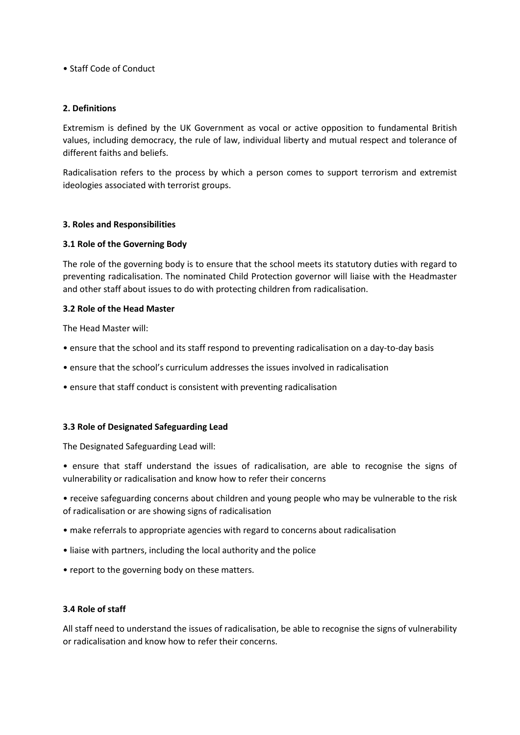#### • Staff Code of Conduct

#### **2. Definitions**

Extremism is defined by the UK Government as vocal or active opposition to fundamental British values, including democracy, the rule of law, individual liberty and mutual respect and tolerance of different faiths and beliefs.

Radicalisation refers to the process by which a person comes to support terrorism and extremist ideologies associated with terrorist groups.

#### **3. Roles and Responsibilities**

#### **3.1 Role of the Governing Body**

The role of the governing body is to ensure that the school meets its statutory duties with regard to preventing radicalisation. The nominated Child Protection governor will liaise with the Headmaster and other staff about issues to do with protecting children from radicalisation.

#### **3.2 Role of the Head Master**

The Head Master will:

- ensure that the school and its staff respond to preventing radicalisation on a day-to-day basis
- ensure that the school's curriculum addresses the issues involved in radicalisation
- ensure that staff conduct is consistent with preventing radicalisation

#### **3.3 Role of Designated Safeguarding Lead**

The Designated Safeguarding Lead will:

- ensure that staff understand the issues of radicalisation, are able to recognise the signs of vulnerability or radicalisation and know how to refer their concerns
- receive safeguarding concerns about children and young people who may be vulnerable to the risk of radicalisation or are showing signs of radicalisation
- make referrals to appropriate agencies with regard to concerns about radicalisation
- liaise with partners, including the local authority and the police
- report to the governing body on these matters.

#### **3.4 Role of staff**

All staff need to understand the issues of radicalisation, be able to recognise the signs of vulnerability or radicalisation and know how to refer their concerns.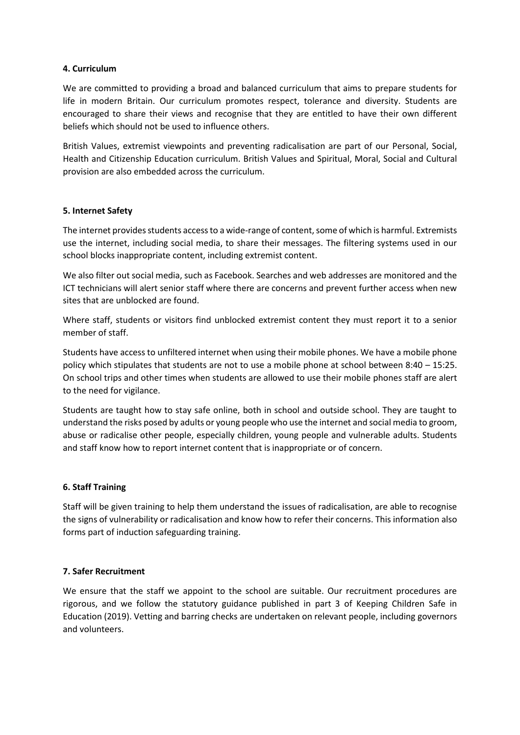#### **4. Curriculum**

We are committed to providing a broad and balanced curriculum that aims to prepare students for life in modern Britain. Our curriculum promotes respect, tolerance and diversity. Students are encouraged to share their views and recognise that they are entitled to have their own different beliefs which should not be used to influence others.

British Values, extremist viewpoints and preventing radicalisation are part of our Personal, Social, Health and Citizenship Education curriculum. British Values and Spiritual, Moral, Social and Cultural provision are also embedded across the curriculum.

#### **5. Internet Safety**

The internet provides students access to a wide-range of content, some of which is harmful. Extremists use the internet, including social media, to share their messages. The filtering systems used in our school blocks inappropriate content, including extremist content.

We also filter out social media, such as Facebook. Searches and web addresses are monitored and the ICT technicians will alert senior staff where there are concerns and prevent further access when new sites that are unblocked are found.

Where staff, students or visitors find unblocked extremist content they must report it to a senior member of staff.

Students have access to unfiltered internet when using their mobile phones. We have a mobile phone policy which stipulates that students are not to use a mobile phone at school between 8:40 – 15:25. On school trips and other times when students are allowed to use their mobile phones staff are alert to the need for vigilance.

Students are taught how to stay safe online, both in school and outside school. They are taught to understand the risks posed by adults or young people who use the internet and social media to groom, abuse or radicalise other people, especially children, young people and vulnerable adults. Students and staff know how to report internet content that is inappropriate or of concern.

#### **6. Staff Training**

Staff will be given training to help them understand the issues of radicalisation, are able to recognise the signs of vulnerability or radicalisation and know how to refer their concerns. This information also forms part of induction safeguarding training.

## **7. Safer Recruitment**

We ensure that the staff we appoint to the school are suitable. Our recruitment procedures are rigorous, and we follow the statutory guidance published in part 3 of Keeping Children Safe in Education (2019). Vetting and barring checks are undertaken on relevant people, including governors and volunteers.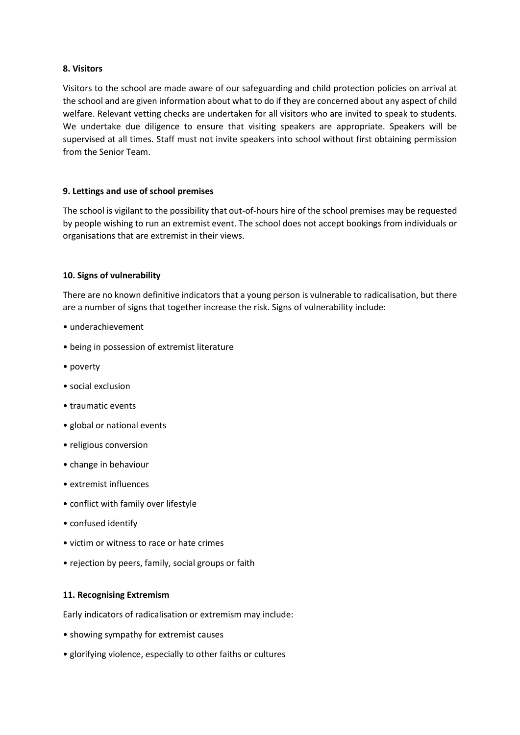#### **8. Visitors**

Visitors to the school are made aware of our safeguarding and child protection policies on arrival at the school and are given information about what to do if they are concerned about any aspect of child welfare. Relevant vetting checks are undertaken for all visitors who are invited to speak to students. We undertake due diligence to ensure that visiting speakers are appropriate. Speakers will be supervised at all times. Staff must not invite speakers into school without first obtaining permission from the Senior Team.

#### **9. Lettings and use of school premises**

The school is vigilant to the possibility that out-of-hours hire of the school premises may be requested by people wishing to run an extremist event. The school does not accept bookings from individuals or organisations that are extremist in their views.

#### **10. Signs of vulnerability**

There are no known definitive indicators that a young person is vulnerable to radicalisation, but there are a number of signs that together increase the risk. Signs of vulnerability include:

- underachievement
- being in possession of extremist literature
- poverty
- social exclusion
- traumatic events
- global or national events
- religious conversion
- change in behaviour
- extremist influences
- conflict with family over lifestyle
- confused identify
- victim or witness to race or hate crimes
- rejection by peers, family, social groups or faith

#### **11. Recognising Extremism**

Early indicators of radicalisation or extremism may include:

- showing sympathy for extremist causes
- glorifying violence, especially to other faiths or cultures